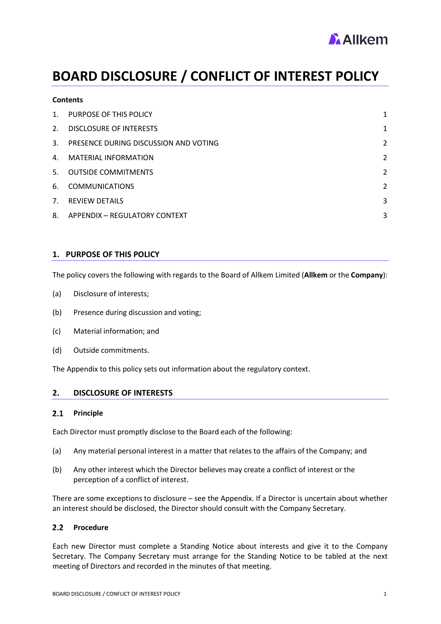

# **BOARD DISCLOSURE / CONFLICT OF INTEREST POLICY**

| <b>Contents</b> |                                          |   |
|-----------------|------------------------------------------|---|
| $1_{\cdot}$     | PURPOSE OF THIS POLICY                   | 1 |
| 2.              | DISCLOSURE OF INTERESTS                  | 1 |
|                 | 3. PRESENCE DURING DISCUSSION AND VOTING | 2 |
| 4.              | <b>MATERIAL INFORMATION</b>              | 2 |
| 5.              | <b>OUTSIDE COMMITMENTS</b>               | 2 |
| 6.              | <b>COMMUNICATIONS</b>                    | 2 |
| 7 <sub>1</sub>  | <b>REVIEW DETAILS</b>                    | 3 |
|                 | 8. APPENDIX - REGULATORY CONTEXT         | 3 |

# <span id="page-0-0"></span>**1. PURPOSE OF THIS POLICY**

The policy covers the following with regards to the Board of Allkem Limited (**Allkem** or the **Company**):

- (a) Disclosure of interests;
- (b) Presence during discussion and voting;
- (c) Material information; and
- (d) Outside commitments.

The Appendix to this policy sets out information about the regulatory context.

### <span id="page-0-1"></span>**2. DISCLOSURE OF INTERESTS**

#### $2.1$ **Principle**

Each Director must promptly disclose to the Board each of the following:

- (a) Any material personal interest in a matter that relates to the affairs of the Company; and
- (b) Any other interest which the Director believes may create a conflict of interest or the perception of a conflict of interest.

There are some exceptions to disclosure – see the Appendix. If a Director is uncertain about whether an interest should be disclosed, the Director should consult with the Company Secretary.

# 2.2 Procedure

Each new Director must complete a Standing Notice about interests and give it to the Company Secretary. The Company Secretary must arrange for the Standing Notice to be tabled at the next meeting of Directors and recorded in the minutes of that meeting.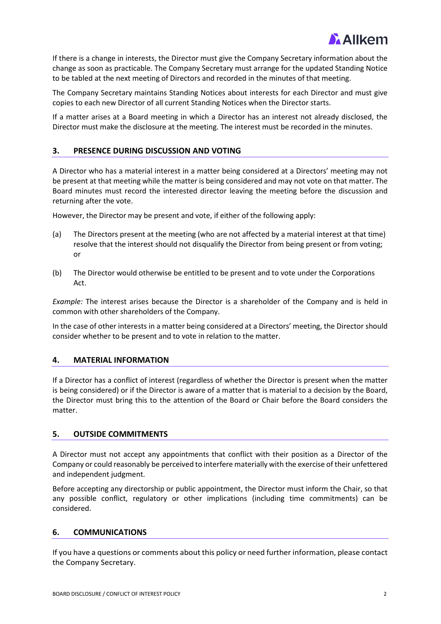

If there is a change in interests, the Director must give the Company Secretary information about the change as soon as practicable. The Company Secretary must arrange for the updated Standing Notice to be tabled at the next meeting of Directors and recorded in the minutes of that meeting.

The Company Secretary maintains Standing Notices about interests for each Director and must give copies to each new Director of all current Standing Notices when the Director starts.

If a matter arises at a Board meeting in which a Director has an interest not already disclosed, the Director must make the disclosure at the meeting. The interest must be recorded in the minutes.

# <span id="page-1-0"></span>**3. PRESENCE DURING DISCUSSION AND VOTING**

A Director who has a material interest in a matter being considered at a Directors' meeting may not be present at that meeting while the matter is being considered and may not vote on that matter. The Board minutes must record the interested director leaving the meeting before the discussion and returning after the vote.

However, the Director may be present and vote, if either of the following apply:

- (a) The Directors present at the meeting (who are not affected by a material interest at that time) resolve that the interest should not disqualify the Director from being present or from voting; or
- (b) The Director would otherwise be entitled to be present and to vote under the Corporations Act.

*Example:* The interest arises because the Director is a shareholder of the Company and is held in common with other shareholders of the Company.

In the case of other interests in a matter being considered at a Directors' meeting, the Director should consider whether to be present and to vote in relation to the matter.

# <span id="page-1-1"></span>**4. MATERIAL INFORMATION**

If a Director has a conflict of interest (regardless of whether the Director is present when the matter is being considered) or if the Director is aware of a matter that is material to a decision by the Board, the Director must bring this to the attention of the Board or Chair before the Board considers the matter.

# <span id="page-1-2"></span>**5. OUTSIDE COMMITMENTS**

A Director must not accept any appointments that conflict with their position as a Director of the Company or could reasonably be perceived to interfere materially with the exercise of their unfettered and independent judgment.

Before accepting any directorship or public appointment, the Director must inform the Chair, so that any possible conflict, regulatory or other implications (including time commitments) can be considered.

#### <span id="page-1-3"></span>**6. COMMUNICATIONS**

If you have a questions or comments about this policy or need further information, please contact the Company Secretary.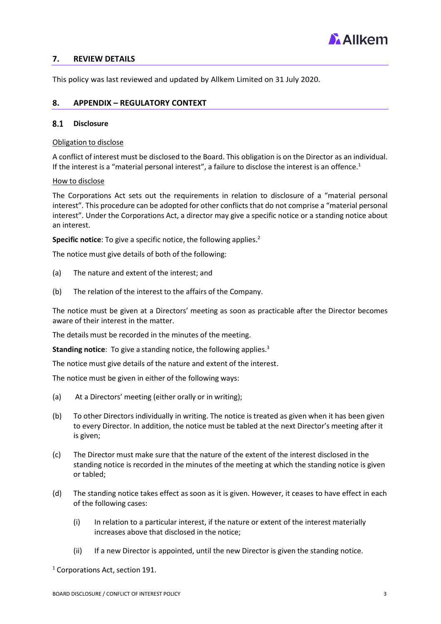

# <span id="page-2-0"></span>**7. REVIEW DETAILS**

This policy was last reviewed and updated by Allkem Limited on 31 July 2020.

# <span id="page-2-1"></span>**8. APPENDIX – REGULATORY CONTEXT**

### 8.1 Disclosure

Obligation to disclose

A conflict of interest must be disclosed to the Board. This obligation is on the Director as an individual. If the interest is a "material personal interest", a failure to disclose the interest is an offence.<sup>1</sup>

### How to disclose

The Corporations Act sets out the requirements in relation to disclosure of a "material personal interest". This procedure can be adopted for other conflicts that do not comprise a "material personal interest". Under the Corporations Act, a director may give a specific notice or a standing notice about an interest.

**Specific notice**: To give a specific notice, the following applies.<sup>2</sup>

The notice must give details of both of the following:

- (a) The nature and extent of the interest; and
- (b) The relation of the interest to the affairs of the Company.

The notice must be given at a Directors' meeting as soon as practicable after the Director becomes aware of their interest in the matter.

The details must be recorded in the minutes of the meeting.

**Standing notice:** To give a standing notice, the following applies.<sup>3</sup>

The notice must give details of the nature and extent of the interest.

The notice must be given in either of the following ways:

- (a) At a Directors' meeting (either orally or in writing);
- (b) To other Directors individually in writing. The notice is treated as given when it has been given to every Director. In addition, the notice must be tabled at the next Director's meeting after it is given;
- (c) The Director must make sure that the nature of the extent of the interest disclosed in the standing notice is recorded in the minutes of the meeting at which the standing notice is given or tabled;
- (d) The standing notice takes effect as soon as it is given. However, it ceases to have effect in each of the following cases:
	- (i) In relation to a particular interest, if the nature or extent of the interest materially increases above that disclosed in the notice;
	- (ii) If a new Director is appointed, until the new Director is given the standing notice.

<sup>1</sup> Corporations Act, section 191.